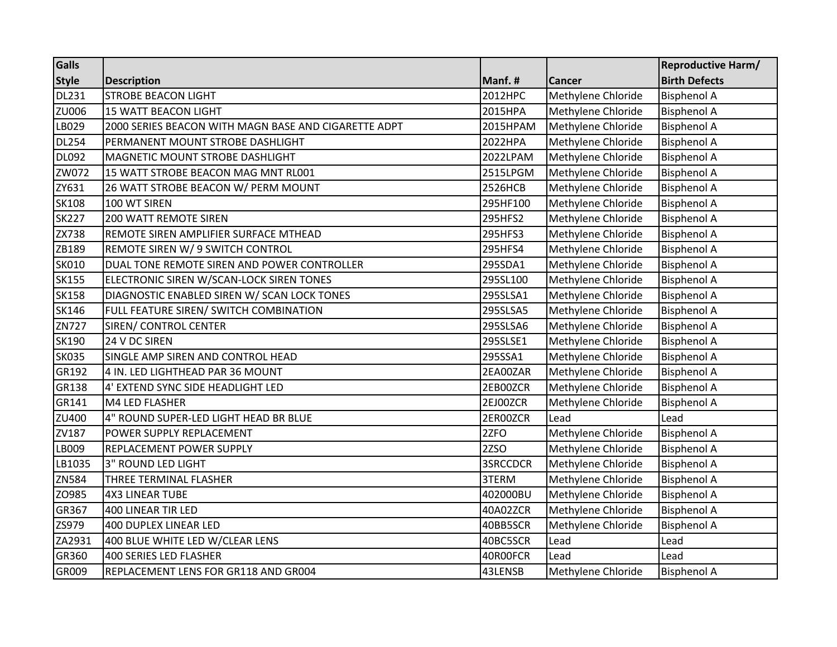| <b>Galls</b> |                                                      |                |                    | <b>Reproductive Harm/</b> |
|--------------|------------------------------------------------------|----------------|--------------------|---------------------------|
| <b>Style</b> | <b>Description</b>                                   | Manf.#         | Cancer             | <b>Birth Defects</b>      |
| <b>DL231</b> | <b>STROBE BEACON LIGHT</b>                           | 2012HPC        | Methylene Chloride | <b>Bisphenol A</b>        |
| <b>ZU006</b> | <b>15 WATT BEACON LIGHT</b>                          | 2015HPA        | Methylene Chloride | <b>Bisphenol A</b>        |
| LB029        | 2000 SERIES BEACON WITH MAGN BASE AND CIGARETTE ADPT | 2015HPAM       | Methylene Chloride | <b>Bisphenol A</b>        |
| <b>DL254</b> | PERMANENT MOUNT STROBE DASHLIGHT                     | 2022HPA        | Methylene Chloride | <b>Bisphenol A</b>        |
| <b>DL092</b> | MAGNETIC MOUNT STROBE DASHLIGHT                      | 2022LPAM       | Methylene Chloride | <b>Bisphenol A</b>        |
| ZW072        | 15 WATT STROBE BEACON MAG MNT RL001                  | 2515LPGM       | Methylene Chloride | <b>Bisphenol A</b>        |
| ZY631        | 26 WATT STROBE BEACON W/ PERM MOUNT                  | <b>2526HCB</b> | Methylene Chloride | <b>Bisphenol A</b>        |
| <b>SK108</b> | 100 WT SIREN                                         | 295HF100       | Methylene Chloride | <b>Bisphenol A</b>        |
| <b>SK227</b> | <b>200 WATT REMOTE SIREN</b>                         | 295HFS2        | Methylene Chloride | <b>Bisphenol A</b>        |
| <b>ZX738</b> | REMOTE SIREN AMPLIFIER SURFACE MTHEAD                | 295HFS3        | Methylene Chloride | <b>Bisphenol A</b>        |
| ZB189        | REMOTE SIREN W/ 9 SWITCH CONTROL                     | 295HFS4        | Methylene Chloride | <b>Bisphenol A</b>        |
| <b>SK010</b> | DUAL TONE REMOTE SIREN AND POWER CONTROLLER          | 295SDA1        | Methylene Chloride | <b>Bisphenol A</b>        |
| <b>SK155</b> | ELECTRONIC SIREN W/SCAN-LOCK SIREN TONES             | 295SL100       | Methylene Chloride | <b>Bisphenol A</b>        |
| <b>SK158</b> | DIAGNOSTIC ENABLED SIREN W/ SCAN LOCK TONES          | 295SLSA1       | Methylene Chloride | <b>Bisphenol A</b>        |
| <b>SK146</b> | FULL FEATURE SIREN/ SWITCH COMBINATION               | 295SLSA5       | Methylene Chloride | <b>Bisphenol A</b>        |
| ZN727        | SIREN/ CONTROL CENTER                                | 295SLSA6       | Methylene Chloride | <b>Bisphenol A</b>        |
| <b>SK190</b> | 24 V DC SIREN                                        | 295SLSE1       | Methylene Chloride | <b>Bisphenol A</b>        |
| <b>SK035</b> | SINGLE AMP SIREN AND CONTROL HEAD                    | 295SSA1        | Methylene Chloride | <b>Bisphenol A</b>        |
| GR192        | 4 IN. LED LIGHTHEAD PAR 36 MOUNT                     | 2EA00ZAR       | Methylene Chloride | <b>Bisphenol A</b>        |
| GR138        | 4' EXTEND SYNC SIDE HEADLIGHT LED                    | 2EB00ZCR       | Methylene Chloride | <b>Bisphenol A</b>        |
| GR141        | M4 LED FLASHER                                       | 2EJ00ZCR       | Methylene Chloride | <b>Bisphenol A</b>        |
| ZU400        | 4" ROUND SUPER-LED LIGHT HEAD BR BLUE                | 2ER00ZCR       | Lead               | Lead                      |
| ZV187        | POWER SUPPLY REPLACEMENT                             | 2ZFO           | Methylene Chloride | <b>Bisphenol A</b>        |
| LB009        | REPLACEMENT POWER SUPPLY                             | 2ZSO           | Methylene Chloride | <b>Bisphenol A</b>        |
| LB1035       | 3" ROUND LED LIGHT                                   | 3SRCCDCR       | Methylene Chloride | <b>Bisphenol A</b>        |
| ZN584        | THREE TERMINAL FLASHER                               | 3TERM          | Methylene Chloride | <b>Bisphenol A</b>        |
| ZO985        | <b>4X3 LINEAR TUBE</b>                               | 402000BU       | Methylene Chloride | <b>Bisphenol A</b>        |
| GR367        | 400 LINEAR TIR LED                                   | 40A02ZCR       | Methylene Chloride | <b>Bisphenol A</b>        |
| ZS979        | 400 DUPLEX LINEAR LED                                | 40BB5SCR       | Methylene Chloride | <b>Bisphenol A</b>        |
| ZA2931       | 400 BLUE WHITE LED W/CLEAR LENS                      | 40BC5SCR       | Lead               | Lead                      |
| GR360        | 400 SERIES LED FLASHER                               | 40R00FCR       | Lead               | Lead                      |
| GR009        | REPLACEMENT LENS FOR GR118 AND GR004                 | 43LENSB        | Methylene Chloride | <b>Bisphenol A</b>        |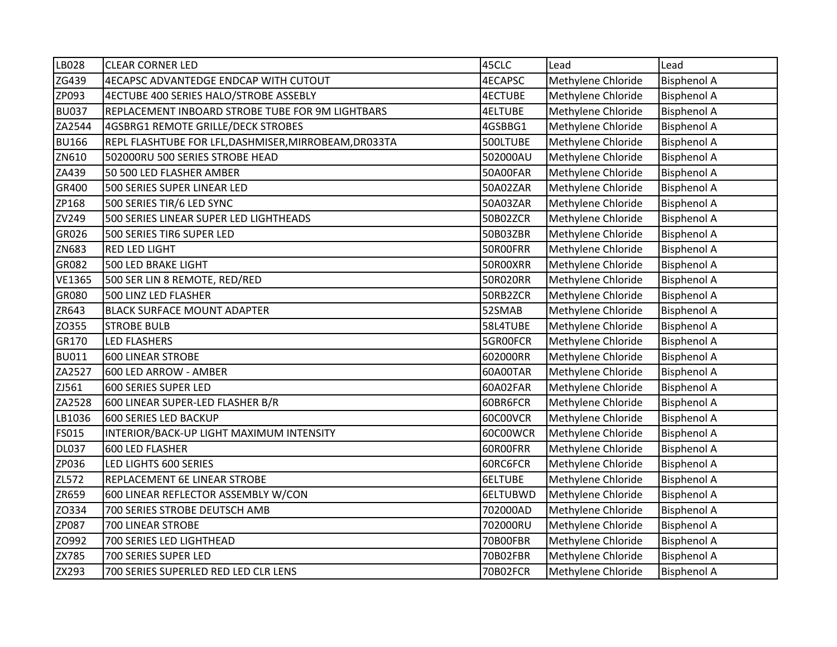| LB028         | <b>CLEAR CORNER LED</b>                               | 45CLC          | Lead               | Lead               |
|---------------|-------------------------------------------------------|----------------|--------------------|--------------------|
| ZG439         | 4ECAPSC ADVANTEDGE ENDCAP WITH CUTOUT                 | <b>4ECAPSC</b> | Methylene Chloride | <b>Bisphenol A</b> |
| ZP093         | 4ECTUBE 400 SERIES HALO/STROBE ASSEBLY                | <b>4ECTUBE</b> | Methylene Chloride | <b>Bisphenol A</b> |
| <b>BU037</b>  | REPLACEMENT INBOARD STROBE TUBE FOR 9M LIGHTBARS      | <b>4ELTUBE</b> | Methylene Chloride | <b>Bisphenol A</b> |
| ZA2544        | 4GSBRG1 REMOTE GRILLE/DECK STROBES                    | 4GSBBG1        | Methylene Chloride | <b>Bisphenol A</b> |
| <b>BU166</b>  | REPL FLASHTUBE FOR LFL, DASHMISER, MIRROBEAM, DR033TA | 500LTUBE       | Methylene Chloride | <b>Bisphenol A</b> |
| ZN610         | 502000RU 500 SERIES STROBE HEAD                       | 502000AU       | Methylene Chloride | <b>Bisphenol A</b> |
| ZA439         | 50 500 LED FLASHER AMBER                              | 50A00FAR       | Methylene Chloride | <b>Bisphenol A</b> |
| GR400         | 500 SERIES SUPER LINEAR LED                           | 50A02ZAR       | Methylene Chloride | <b>Bisphenol A</b> |
| ZP168         | 500 SERIES TIR/6 LED SYNC                             | 50A03ZAR       | Methylene Chloride | <b>Bisphenol A</b> |
| ZV249         | 500 SERIES LINEAR SUPER LED LIGHTHEADS                | 50B02ZCR       | Methylene Chloride | <b>Bisphenol A</b> |
| GR026         | 500 SERIES TIR6 SUPER LED                             | 50B03ZBR       | Methylene Chloride | <b>Bisphenol A</b> |
| ZN683         | <b>RED LED LIGHT</b>                                  | 50R00FRR       | Methylene Chloride | <b>Bisphenol A</b> |
| GR082         | <b>500 LED BRAKE LIGHT</b>                            | 50R00XRR       | Methylene Chloride | <b>Bisphenol A</b> |
| <b>VE1365</b> | 500 SER LIN 8 REMOTE, RED/RED                         | 50R020RR       | Methylene Chloride | <b>Bisphenol A</b> |
| GR080         | 500 LINZ LED FLASHER                                  | 50RB2ZCR       | Methylene Chloride | <b>Bisphenol A</b> |
| ZR643         | <b>BLACK SURFACE MOUNT ADAPTER</b>                    | 52SMAB         | Methylene Chloride | <b>Bisphenol A</b> |
| ZO355         | <b>STROBE BULB</b>                                    | 58L4TUBE       | Methylene Chloride | <b>Bisphenol A</b> |
| GR170         | <b>LED FLASHERS</b>                                   | 5GROOFCR       | Methylene Chloride | <b>Bisphenol A</b> |
| <b>BU011</b>  | <b>600 LINEAR STROBE</b>                              | 602000RR       | Methylene Chloride | <b>Bisphenol A</b> |
| ZA2527        | 600 LED ARROW - AMBER                                 | 60A00TAR       | Methylene Chloride | <b>Bisphenol A</b> |
| ZJ561         | 600 SERIES SUPER LED                                  | 60A02FAR       | Methylene Chloride | <b>Bisphenol A</b> |
| ZA2528        | 600 LINEAR SUPER-LED FLASHER B/R                      | 60BR6FCR       | Methylene Chloride | <b>Bisphenol A</b> |
| LB1036        | 600 SERIES LED BACKUP                                 | 60C00VCR       | Methylene Chloride | <b>Bisphenol A</b> |
| <b>FS015</b>  | INTERIOR/BACK-UP LIGHT MAXIMUM INTENSITY              | 60C00WCR       | Methylene Chloride | <b>Bisphenol A</b> |
| <b>DL037</b>  | <b>600 LED FLASHER</b>                                | 60R00FRR       | Methylene Chloride | <b>Bisphenol A</b> |
| ZP036         | LED LIGHTS 600 SERIES                                 | 60RC6FCR       | Methylene Chloride | <b>Bisphenol A</b> |
| ZL572         | REPLACEMENT 6E LINEAR STROBE                          | 6ELTUBE        | Methylene Chloride | <b>Bisphenol A</b> |
| ZR659         | 600 LINEAR REFLECTOR ASSEMBLY W/CON                   | 6ELTUBWD       | Methylene Chloride | <b>Bisphenol A</b> |
| ZO334         | 700 SERIES STROBE DEUTSCH AMB                         | 702000AD       | Methylene Chloride | <b>Bisphenol A</b> |
| ZP087         | 700 LINEAR STROBE                                     | 702000RU       | Methylene Chloride | <b>Bisphenol A</b> |
| ZO992         | 700 SERIES LED LIGHTHEAD                              | 70B00FBR       | Methylene Chloride | <b>Bisphenol A</b> |
| ZX785         | 700 SERIES SUPER LED                                  | 70B02FBR       | Methylene Chloride | <b>Bisphenol A</b> |
| ZX293         | 700 SERIES SUPERLED RED LED CLR LENS                  | 70B02FCR       | Methylene Chloride | <b>Bisphenol A</b> |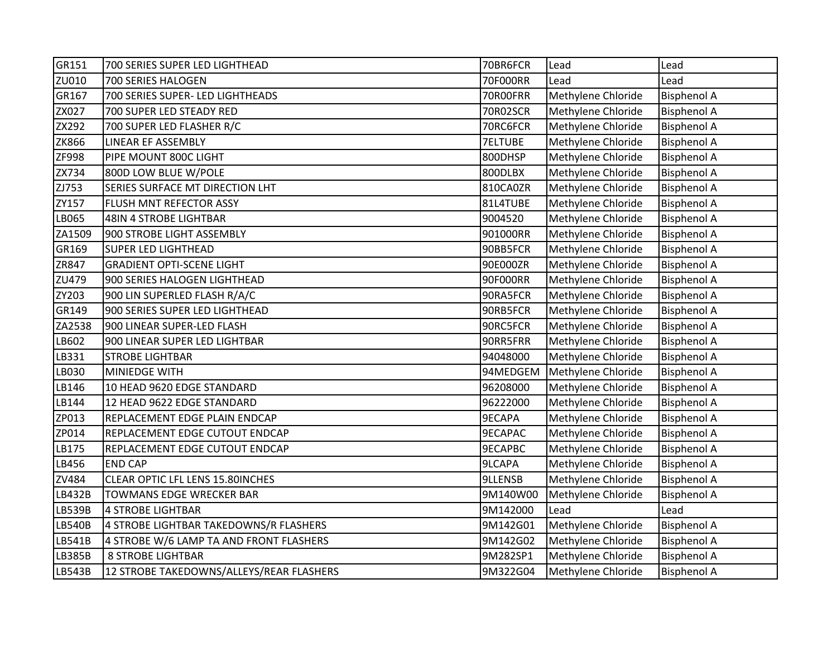| GR151         | 700 SERIES SUPER LED LIGHTHEAD           | 70BR6FCR       | Lead               | Lead               |
|---------------|------------------------------------------|----------------|--------------------|--------------------|
| ZU010         | 700 SERIES HALOGEN                       | 70F000RR       | Lead               | Lead               |
| GR167         | 700 SERIES SUPER- LED LIGHTHEADS         | 70R00FRR       | Methylene Chloride | <b>Bisphenol A</b> |
| ZX027         | 700 SUPER LED STEADY RED                 | 70R02SCR       | Methylene Chloride | <b>Bisphenol A</b> |
| ZX292         | 700 SUPER LED FLASHER R/C                | 70RC6FCR       | Methylene Chloride | <b>Bisphenol A</b> |
| <b>ZK866</b>  | LINEAR EF ASSEMBLY                       | <b>7ELTUBE</b> | Methylene Chloride | <b>Bisphenol A</b> |
| ZF998         | PIPE MOUNT 800C LIGHT                    | 800DHSP        | Methylene Chloride | <b>Bisphenol A</b> |
| ZX734         | 800D LOW BLUE W/POLE                     | 800DLBX        | Methylene Chloride | <b>Bisphenol A</b> |
| ZJ753         | SERIES SURFACE MT DIRECTION LHT          | 810CA0ZR       | Methylene Chloride | <b>Bisphenol A</b> |
| ZY157         | FLUSH MNT REFECTOR ASSY                  | 81L4TUBE       | Methylene Chloride | <b>Bisphenol A</b> |
| LB065         | <b>48IN 4 STROBE LIGHTBAR</b>            | 9004520        | Methylene Chloride | <b>Bisphenol A</b> |
| ZA1509        | 900 STROBE LIGHT ASSEMBLY                | 901000RR       | Methylene Chloride | <b>Bisphenol A</b> |
| GR169         | <b>SUPER LED LIGHTHEAD</b>               | 90BB5FCR       | Methylene Chloride | <b>Bisphenol A</b> |
| ZR847         | <b>GRADIENT OPTI-SCENE LIGHT</b>         | 90E000ZR       | Methylene Chloride | <b>Bisphenol A</b> |
| ZU479         | 900 SERIES HALOGEN LIGHTHEAD             | 90F000RR       | Methylene Chloride | <b>Bisphenol A</b> |
| ZY203         | 900 LIN SUPERLED FLASH R/A/C             | 90RA5FCR       | Methylene Chloride | <b>Bisphenol A</b> |
| GR149         | 900 SERIES SUPER LED LIGHTHEAD           | 90RB5FCR       | Methylene Chloride | <b>Bisphenol A</b> |
| ZA2538        | 900 LINEAR SUPER-LED FLASH               | 90RC5FCR       | Methylene Chloride | <b>Bisphenol A</b> |
| LB602         | 900 LINEAR SUPER LED LIGHTBAR            | 90RR5FRR       | Methylene Chloride | <b>Bisphenol A</b> |
| LB331         | <b>STROBE LIGHTBAR</b>                   | 94048000       | Methylene Chloride | <b>Bisphenol A</b> |
| LB030         | MINIEDGE WITH                            | 94MEDGEM       | Methylene Chloride | <b>Bisphenol A</b> |
| LB146         | 10 HEAD 9620 EDGE STANDARD               | 96208000       | Methylene Chloride | <b>Bisphenol A</b> |
| LB144         | 12 HEAD 9622 EDGE STANDARD               | 96222000       | Methylene Chloride | <b>Bisphenol A</b> |
| ZP013         | REPLACEMENT EDGE PLAIN ENDCAP            | 9ECAPA         | Methylene Chloride | <b>Bisphenol A</b> |
| ZP014         | REPLACEMENT EDGE CUTOUT ENDCAP           | 9ECAPAC        | Methylene Chloride | <b>Bisphenol A</b> |
| LB175         | REPLACEMENT EDGE CUTOUT ENDCAP           | <b>9ECAPBC</b> | Methylene Chloride | <b>Bisphenol A</b> |
| LB456         | <b>END CAP</b>                           | 9LCAPA         | Methylene Chloride | <b>Bisphenol A</b> |
| ZV484         | CLEAR OPTIC LFL LENS 15.80INCHES         | <b>9LLENSB</b> | Methylene Chloride | <b>Bisphenol A</b> |
| LB432B        | <b>TOWMANS EDGE WRECKER BAR</b>          | 9M140W00       | Methylene Chloride | <b>Bisphenol A</b> |
| LB539B        | 4 STROBE LIGHTBAR                        | 9M142000       | Lead               | Lead               |
| <b>LB540B</b> | 4 STROBE LIGHTBAR TAKEDOWNS/R FLASHERS   | 9M142G01       | Methylene Chloride | <b>Bisphenol A</b> |
| LB541B        | 4 STROBE W/6 LAMP TA AND FRONT FLASHERS  | 9M142G02       | Methylene Chloride | <b>Bisphenol A</b> |
| LB385B        | <b>8 STROBE LIGHTBAR</b>                 | 9M282SP1       | Methylene Chloride | <b>Bisphenol A</b> |
| LB543B        | 12 STROBE TAKEDOWNS/ALLEYS/REAR FLASHERS | 9M322G04       | Methylene Chloride | <b>Bisphenol A</b> |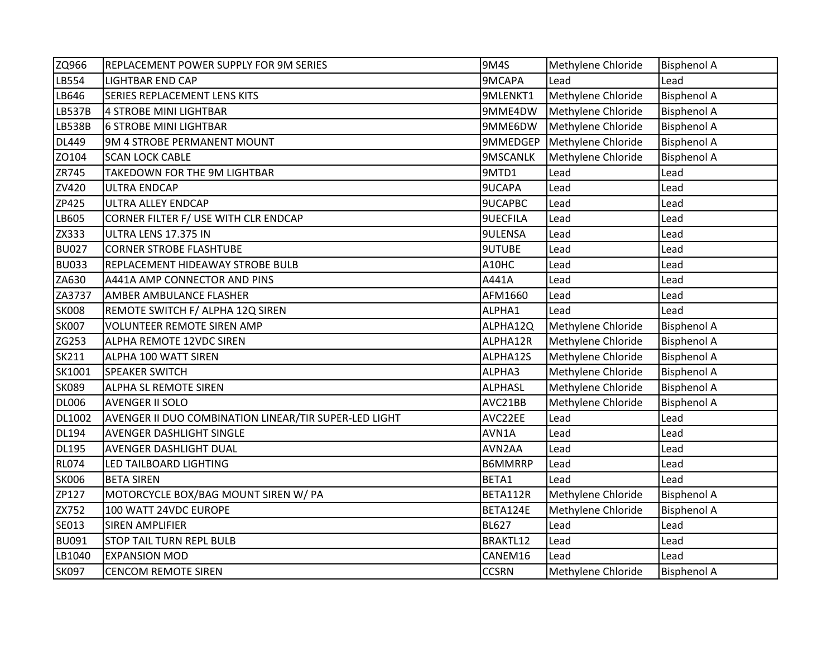| ZQ966         | REPLACEMENT POWER SUPPLY FOR 9M SERIES                | <b>9M4S</b>     | Methylene Chloride | <b>Bisphenol A</b> |
|---------------|-------------------------------------------------------|-----------------|--------------------|--------------------|
| LB554         | <b>LIGHTBAR END CAP</b>                               | 9MCAPA          | Lead               | Lead               |
| LB646         | <b>SERIES REPLACEMENT LENS KITS</b>                   | 9MLENKT1        | Methylene Chloride | <b>Bisphenol A</b> |
| <b>LB537B</b> | 4 STROBE MINI LIGHTBAR                                | 9MME4DW         | Methylene Chloride | <b>Bisphenol A</b> |
| <b>LB538B</b> | <b>6 STROBE MINI LIGHTBAR</b>                         | 9MME6DW         | Methylene Chloride | <b>Bisphenol A</b> |
| <b>DL449</b>  | 9M 4 STROBE PERMANENT MOUNT                           | 9MMEDGEP        | Methylene Chloride | <b>Bisphenol A</b> |
| ZO104         | <b>SCAN LOCK CABLE</b>                                | 9MSCANLK        | Methylene Chloride | <b>Bisphenol A</b> |
| ZR745         | TAKEDOWN FOR THE 9M LIGHTBAR                          | 9MTD1           | Lead               | Lead               |
| ZV420         | <b>ULTRA ENDCAP</b>                                   | 9UCAPA          | Lead               | Lead               |
| ZP425         | ULTRA ALLEY ENDCAP                                    | <b>9UCAPBC</b>  | Lead               | Lead               |
| LB605         | CORNER FILTER F/ USE WITH CLR ENDCAP                  | <b>9UECFILA</b> | Lead               | Lead               |
| ZX333         | ULTRA LENS 17.375 IN                                  | <b>9ULENSA</b>  | Lead               | Lead               |
| <b>BU027</b>  | <b>CORNER STROBE FLASHTUBE</b>                        | <b>9UTUBE</b>   | Lead               | Lead               |
| <b>BU033</b>  | REPLACEMENT HIDEAWAY STROBE BULB                      | A10HC           | Lead               | Lead               |
| ZA630         | A441A AMP CONNECTOR AND PINS                          | A441A           | Lead               | Lead               |
| ZA3737        | AMBER AMBULANCE FLASHER                               | AFM1660         | Lead               | Lead               |
| <b>SK008</b>  | REMOTE SWITCH F/ ALPHA 12Q SIREN                      | ALPHA1          | Lead               | Lead               |
| <b>SK007</b>  | <b>VOLUNTEER REMOTE SIREN AMP</b>                     | ALPHA12Q        | Methylene Chloride | <b>Bisphenol A</b> |
| ZG253         | ALPHA REMOTE 12VDC SIREN                              | ALPHA12R        | Methylene Chloride | <b>Bisphenol A</b> |
| SK211         | ALPHA 100 WATT SIREN                                  | ALPHA12S        | Methylene Chloride | <b>Bisphenol A</b> |
| SK1001        | <b>SPEAKER SWITCH</b>                                 | ALPHA3          | Methylene Chloride | <b>Bisphenol A</b> |
| <b>SK089</b>  | ALPHA SL REMOTE SIREN                                 | <b>ALPHASL</b>  | Methylene Chloride | <b>Bisphenol A</b> |
| <b>DL006</b>  | <b>AVENGER II SOLO</b>                                | AVC21BB         | Methylene Chloride | <b>Bisphenol A</b> |
| DL1002        | AVENGER II DUO COMBINATION LINEAR/TIR SUPER-LED LIGHT | AVC22EE         | Lead               | Lead               |
| <b>DL194</b>  | <b>AVENGER DASHLIGHT SINGLE</b>                       | AVN1A           | Lead               | Lead               |
| <b>DL195</b>  | AVENGER DASHLIGHT DUAL                                | AVN2AA          | Lead               | Lead               |
| <b>RL074</b>  | LED TAILBOARD LIGHTING                                | <b>B6MMRRP</b>  | Lead               | Lead               |
| <b>SK006</b>  | <b>BETA SIREN</b>                                     | BETA1           | Lead               | Lead               |
| ZP127         | MOTORCYCLE BOX/BAG MOUNT SIREN W/ PA                  | BETA112R        | Methylene Chloride | <b>Bisphenol A</b> |
| ZX752         | 100 WATT 24VDC EUROPE                                 | BETA124E        | Methylene Chloride | <b>Bisphenol A</b> |
| SE013         | <b>SIREN AMPLIFIER</b>                                | <b>BL627</b>    | Lead               | Lead               |
| <b>BU091</b>  | STOP TAIL TURN REPL BULB                              | BRAKTL12        | Lead               | Lead               |
| LB1040        | <b>EXPANSION MOD</b>                                  | CANEM16         | Lead               | Lead               |
| <b>SK097</b>  | <b>CENCOM REMOTE SIREN</b>                            | <b>CCSRN</b>    | Methylene Chloride | <b>Bisphenol A</b> |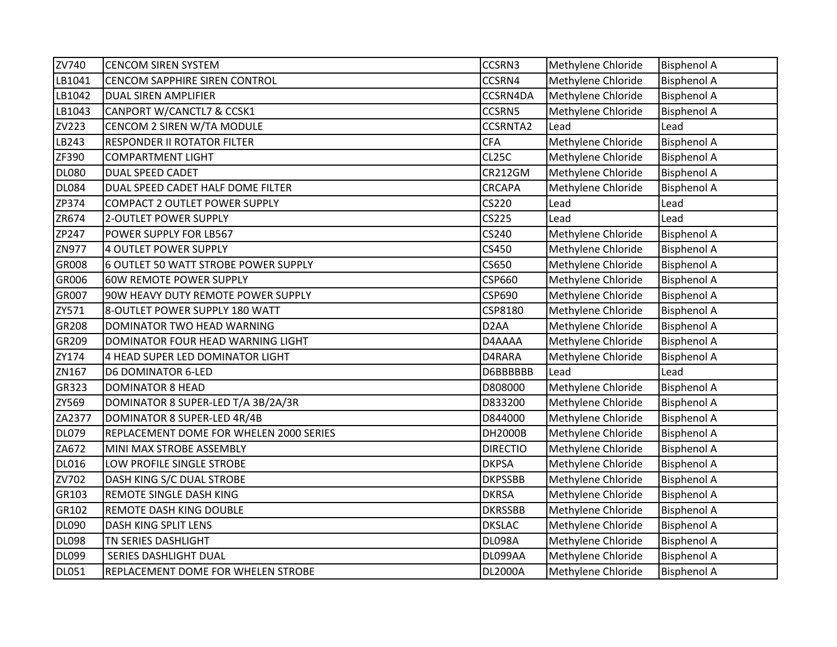| ZV740        | <b>CENCOM SIREN SYSTEM</b>              | CCSRN3            | Methylene Chloride | <b>Bisphenol A</b> |
|--------------|-----------------------------------------|-------------------|--------------------|--------------------|
| LB1041       | <b>CENCOM SAPPHIRE SIREN CONTROL</b>    | CCSRN4            | Methylene Chloride | <b>Bisphenol A</b> |
| LB1042       | DUAL SIREN AMPLIFIER                    | CCSRN4DA          | Methylene Chloride | <b>Bisphenol A</b> |
| LB1043       | CANPORT W/CANCTL7 & CCSK1               | CCSRN5            | Methylene Chloride | <b>Bisphenol A</b> |
| ZV223        | CENCOM 2 SIREN W/TA MODULE              | <b>CCSRNTA2</b>   | Lead               | Lead               |
| LB243        | <b>RESPONDER II ROTATOR FILTER</b>      | <b>CFA</b>        | Methylene Chloride | <b>Bisphenol A</b> |
| ZF390        | <b>COMPARTMENT LIGHT</b>                | <b>CL25C</b>      | Methylene Chloride | <b>Bisphenol A</b> |
| <b>DL080</b> | <b>DUAL SPEED CADET</b>                 | <b>CR212GM</b>    | Methylene Chloride | <b>Bisphenol A</b> |
| <b>DL084</b> | DUAL SPEED CADET HALF DOME FILTER       | CRCAPA            | Methylene Chloride | <b>Bisphenol A</b> |
| ZP374        | <b>COMPACT 2 OUTLET POWER SUPPLY</b>    | CS220             | Lead               | Lead               |
| ZR674        | 2-OUTLET POWER SUPPLY                   | CS225             | Lead               | Lead               |
| ZP247        | POWER SUPPLY FOR LB567                  | CS240             | Methylene Chloride | <b>Bisphenol A</b> |
| ZN977        | 4 OUTLET POWER SUPPLY                   | CS450             | Methylene Chloride | <b>Bisphenol A</b> |
| GR008        | 6 OUTLET 50 WATT STROBE POWER SUPPLY    | CS650             | Methylene Chloride | <b>Bisphenol A</b> |
| GR006        | <b>60W REMOTE POWER SUPPLY</b>          | <b>CSP660</b>     | Methylene Chloride | <b>Bisphenol A</b> |
| GR007        | 90W HEAVY DUTY REMOTE POWER SUPPLY      | <b>CSP690</b>     | Methylene Chloride | <b>Bisphenol A</b> |
| ZY571        | 8-OUTLET POWER SUPPLY 180 WATT          | CSP8180           | Methylene Chloride | <b>Bisphenol A</b> |
| GR208        | DOMINATOR TWO HEAD WARNING              | D <sub>2</sub> AA | Methylene Chloride | <b>Bisphenol A</b> |
| GR209        | DOMINATOR FOUR HEAD WARNING LIGHT       | D4AAAA            | Methylene Chloride | <b>Bisphenol A</b> |
| ZY174        | 4 HEAD SUPER LED DOMINATOR LIGHT        | D4RARA            | Methylene Chloride | <b>Bisphenol A</b> |
| ZN167        | <b>D6 DOMINATOR 6-LED</b>               | D6BBBBBB          | Lead               | Lead               |
| GR323        | <b>DOMINATOR 8 HEAD</b>                 | D808000           | Methylene Chloride | <b>Bisphenol A</b> |
| ZY569        | DOMINATOR 8 SUPER-LED T/A 3B/2A/3R      | D833200           | Methylene Chloride | <b>Bisphenol A</b> |
| ZA2377       | DOMINATOR 8 SUPER-LED 4R/4B             | D844000           | Methylene Chloride | <b>Bisphenol A</b> |
| <b>DL079</b> | REPLACEMENT DOME FOR WHELEN 2000 SERIES | DH2000B           | Methylene Chloride | <b>Bisphenol A</b> |
| ZA672        | MINI MAX STROBE ASSEMBLY                | <b>DIRECTIO</b>   | Methylene Chloride | <b>Bisphenol A</b> |
| <b>DL016</b> | LOW PROFILE SINGLE STROBE               | <b>DKPSA</b>      | Methylene Chloride | <b>Bisphenol A</b> |
| ZV702        | DASH KING S/C DUAL STROBE               | <b>DKPSSBB</b>    | Methylene Chloride | <b>Bisphenol A</b> |
| GR103        | <b>REMOTE SINGLE DASH KING</b>          | <b>DKRSA</b>      | Methylene Chloride | <b>Bisphenol A</b> |
| GR102        | REMOTE DASH KING DOUBLE                 | <b>DKRSSBB</b>    | Methylene Chloride | <b>Bisphenol A</b> |
| <b>DL090</b> | DASH KING SPLIT LENS                    | <b>DKSLAC</b>     | Methylene Chloride | <b>Bisphenol A</b> |
| <b>DL098</b> | TN SERIES DASHLIGHT                     | <b>DL098A</b>     | Methylene Chloride | <b>Bisphenol A</b> |
| <b>DL099</b> | SERIES DASHLIGHT DUAL                   | DL099AA           | Methylene Chloride | <b>Bisphenol A</b> |
| <b>DL051</b> | REPLACEMENT DOME FOR WHELEN STROBE      | <b>DL2000A</b>    | Methylene Chloride | <b>Bisphenol A</b> |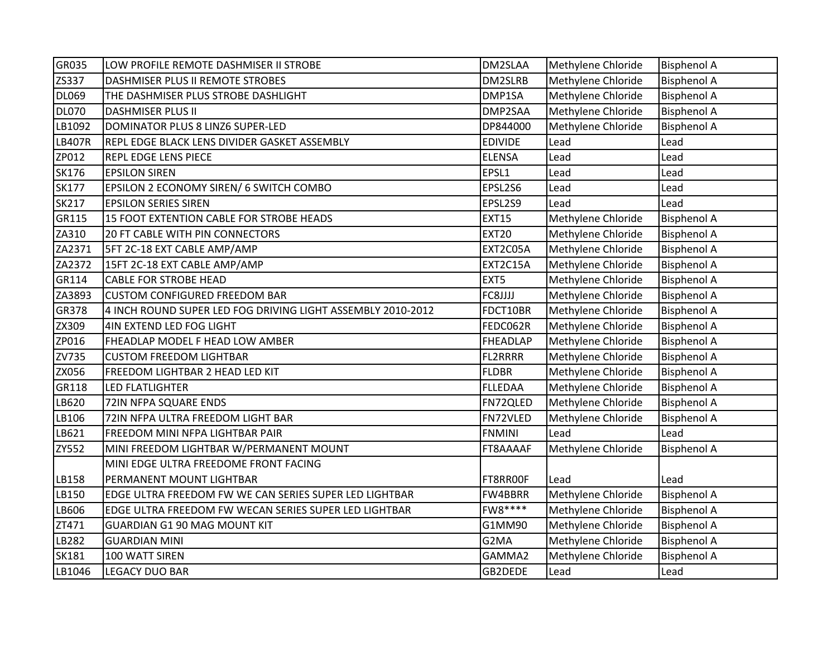| GR035         | LOW PROFILE REMOTE DASHMISER II STROBE                      | DM2SLAA        | Methylene Chloride | <b>Bisphenol A</b> |
|---------------|-------------------------------------------------------------|----------------|--------------------|--------------------|
| ZS337         | DASHMISER PLUS II REMOTE STROBES                            | DM2SLRB        | Methylene Chloride | <b>Bisphenol A</b> |
| <b>DL069</b>  | THE DASHMISER PLUS STROBE DASHLIGHT                         | DMP1SA         | Methylene Chloride | <b>Bisphenol A</b> |
| <b>DL070</b>  | <b>DASHMISER PLUS II</b>                                    | DMP2SAA        | Methylene Chloride | <b>Bisphenol A</b> |
| LB1092        | DOMINATOR PLUS 8 LINZ6 SUPER-LED                            | DP844000       | Methylene Chloride | <b>Bisphenol A</b> |
| <b>LB407R</b> | REPL EDGE BLACK LENS DIVIDER GASKET ASSEMBLY                | <b>EDIVIDE</b> | Lead               | Lead               |
| ZP012         | <b>REPL EDGE LENS PIECE</b>                                 | <b>ELENSA</b>  | Lead               | Lead               |
| <b>SK176</b>  | <b>EPSILON SIREN</b>                                        | EPSL1          | Lead               | Lead               |
| <b>SK177</b>  | EPSILON 2 ECONOMY SIREN/ 6 SWITCH COMBO                     | EPSL2S6        | Lead               | Lead               |
| <b>SK217</b>  | <b>EPSILON SERIES SIREN</b>                                 | EPSL2S9        | Lead               | Lead               |
| GR115         | 15 FOOT EXTENTION CABLE FOR STROBE HEADS                    | <b>EXT15</b>   | Methylene Chloride | <b>Bisphenol A</b> |
| ZA310         | <b>20 FT CABLE WITH PIN CONNECTORS</b>                      | <b>EXT20</b>   | Methylene Chloride | <b>Bisphenol A</b> |
| ZA2371        | 5FT 2C-18 EXT CABLE AMP/AMP                                 | EXT2C05A       | Methylene Chloride | <b>Bisphenol A</b> |
| ZA2372        | 15FT 2C-18 EXT CABLE AMP/AMP                                | EXT2C15A       | Methylene Chloride | <b>Bisphenol A</b> |
| GR114         | <b>CABLE FOR STROBE HEAD</b>                                | EXT5           | Methylene Chloride | <b>Bisphenol A</b> |
| ZA3893        | <b>CUSTOM CONFIGURED FREEDOM BAR</b>                        | FC8JJJJ        | Methylene Chloride | <b>Bisphenol A</b> |
| <b>GR378</b>  | 4 INCH ROUND SUPER LED FOG DRIVING LIGHT ASSEMBLY 2010-2012 | FDCT10BR       | Methylene Chloride | <b>Bisphenol A</b> |
| ZX309         | 4IN EXTEND LED FOG LIGHT                                    | FEDC062R       | Methylene Chloride | <b>Bisphenol A</b> |
| ZP016         | FHEADLAP MODEL F HEAD LOW AMBER                             | FHEADLAP       | Methylene Chloride | <b>Bisphenol A</b> |
| ZV735         | <b>CUSTOM FREEDOM LIGHTBAR</b>                              | <b>FL2RRRR</b> | Methylene Chloride | <b>Bisphenol A</b> |
| ZX056         | FREEDOM LIGHTBAR 2 HEAD LED KIT                             | <b>FLDBR</b>   | Methylene Chloride | <b>Bisphenol A</b> |
| GR118         | LED FLATLIGHTER                                             | <b>FLLEDAA</b> | Methylene Chloride | <b>Bisphenol A</b> |
| LB620         | 72IN NFPA SQUARE ENDS                                       | FN72QLED       | Methylene Chloride | <b>Bisphenol A</b> |
| LB106         | 72IN NFPA ULTRA FREEDOM LIGHT BAR                           | FN72VLED       | Methylene Chloride | <b>Bisphenol A</b> |
| LB621         | FREEDOM MINI NFPA LIGHTBAR PAIR                             | <b>FNMINI</b>  | Lead               | Lead               |
| ZY552         | MINI FREEDOM LIGHTBAR W/PERMANENT MOUNT                     | FT8AAAAF       | Methylene Chloride | <b>Bisphenol A</b> |
|               | MINI EDGE ULTRA FREEDOME FRONT FACING                       |                |                    |                    |
| LB158         | PERMANENT MOUNT LIGHTBAR                                    | FT8RR00F       | Lead               | Lead               |
| LB150         | EDGE ULTRA FREEDOM FW WE CAN SERIES SUPER LED LIGHTBAR      | FW4BBRR        | Methylene Chloride | <b>Bisphenol A</b> |
| LB606         | EDGE ULTRA FREEDOM FW WECAN SERIES SUPER LED LIGHTBAR       | FW8****        | Methylene Chloride | <b>Bisphenol A</b> |
| ZT471         | GUARDIAN G1 90 MAG MOUNT KIT                                | G1MM90         | Methylene Chloride | <b>Bisphenol A</b> |
| LB282         | <b>GUARDIAN MINI</b>                                        | G2MA           | Methylene Chloride | <b>Bisphenol A</b> |
| <b>SK181</b>  | 100 WATT SIREN                                              | GAMMA2         | Methylene Chloride | <b>Bisphenol A</b> |
| LB1046        | <b>LEGACY DUO BAR</b>                                       | GB2DEDE        | Lead               | Lead               |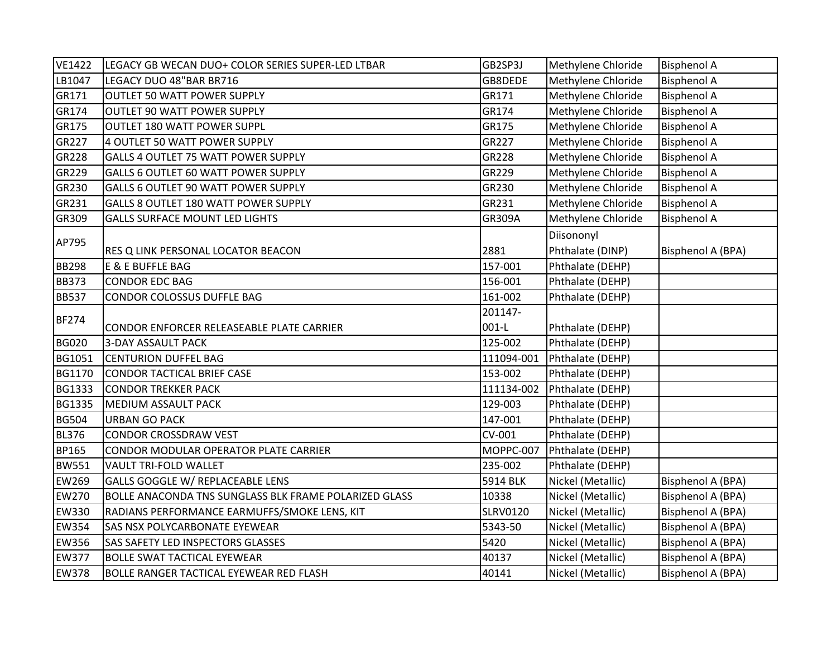| <b>VE1422</b> | LEGACY GB WECAN DUO+ COLOR SERIES SUPER-LED LTBAR     | GB2SP3J         | Methylene Chloride | <b>Bisphenol A</b>       |
|---------------|-------------------------------------------------------|-----------------|--------------------|--------------------------|
| LB1047        | LEGACY DUO 48"BAR BR716                               | GB8DEDE         | Methylene Chloride | <b>Bisphenol A</b>       |
| GR171         | OUTLET 50 WATT POWER SUPPLY                           | GR171           | Methylene Chloride | <b>Bisphenol A</b>       |
| GR174         | OUTLET 90 WATT POWER SUPPLY                           | GR174           | Methylene Chloride | <b>Bisphenol A</b>       |
| GR175         | OUTLET 180 WATT POWER SUPPL                           | GR175           | Methylene Chloride | <b>Bisphenol A</b>       |
| GR227         | 4 OUTLET 50 WATT POWER SUPPLY                         | GR227           | Methylene Chloride | <b>Bisphenol A</b>       |
| <b>GR228</b>  | <b>GALLS 4 OUTLET 75 WATT POWER SUPPLY</b>            | GR228           | Methylene Chloride | <b>Bisphenol A</b>       |
| GR229         | GALLS 6 OUTLET 60 WATT POWER SUPPLY                   | GR229           | Methylene Chloride | <b>Bisphenol A</b>       |
| GR230         | <b>GALLS 6 OUTLET 90 WATT POWER SUPPLY</b>            | GR230           | Methylene Chloride | <b>Bisphenol A</b>       |
| GR231         | GALLS 8 OUTLET 180 WATT POWER SUPPLY                  | GR231           | Methylene Chloride | <b>Bisphenol A</b>       |
| GR309         | <b>GALLS SURFACE MOUNT LED LIGHTS</b>                 | GR309A          | Methylene Chloride | <b>Bisphenol A</b>       |
|               |                                                       |                 | Diisononyl         |                          |
| AP795         | RES Q LINK PERSONAL LOCATOR BEACON                    | 2881            | Phthalate (DINP)   | Bisphenol A (BPA)        |
| <b>BB298</b>  | E & E BUFFLE BAG                                      | 157-001         | Phthalate (DEHP)   |                          |
| <b>BB373</b>  | <b>CONDOR EDC BAG</b>                                 | 156-001         | Phthalate (DEHP)   |                          |
| <b>BB537</b>  | CONDOR COLOSSUS DUFFLE BAG                            | 161-002         | Phthalate (DEHP)   |                          |
|               |                                                       | 201147-         |                    |                          |
| <b>BF274</b>  | CONDOR ENFORCER RELEASEABLE PLATE CARRIER             | $001-L$         | Phthalate (DEHP)   |                          |
| <b>BG020</b>  | <b>3-DAY ASSAULT PACK</b>                             | 125-002         | Phthalate (DEHP)   |                          |
| BG1051        | <b>CENTURION DUFFEL BAG</b>                           | 111094-001      | Phthalate (DEHP)   |                          |
| <b>BG1170</b> | CONDOR TACTICAL BRIEF CASE                            | 153-002         | Phthalate (DEHP)   |                          |
| <b>BG1333</b> | <b>CONDOR TREKKER PACK</b>                            | 111134-002      | Phthalate (DEHP)   |                          |
| <b>BG1335</b> | MEDIUM ASSAULT PACK                                   | 129-003         | Phthalate (DEHP)   |                          |
| <b>BG504</b>  | <b>URBAN GO PACK</b>                                  | 147-001         | Phthalate (DEHP)   |                          |
| <b>BL376</b>  | <b>CONDOR CROSSDRAW VEST</b>                          | CV-001          | Phthalate (DEHP)   |                          |
| <b>BP165</b>  | CONDOR MODULAR OPERATOR PLATE CARRIER                 | MOPPC-007       | Phthalate (DEHP)   |                          |
| <b>BW551</b>  | VAULT TRI-FOLD WALLET                                 | 235-002         | Phthalate (DEHP)   |                          |
| EW269         | GALLS GOGGLE W/ REPLACEABLE LENS                      | 5914 BLK        | Nickel (Metallic)  | Bisphenol A (BPA)        |
| EW270         | BOLLE ANACONDA TNS SUNGLASS BLK FRAME POLARIZED GLASS | 10338           | Nickel (Metallic)  | Bisphenol A (BPA)        |
| <b>EW330</b>  | RADIANS PERFORMANCE EARMUFFS/SMOKE LENS, KIT          | <b>SLRV0120</b> | Nickel (Metallic)  | Bisphenol A (BPA)        |
| <b>EW354</b>  | SAS NSX POLYCARBONATE EYEWEAR                         | 5343-50         | Nickel (Metallic)  | Bisphenol A (BPA)        |
| <b>EW356</b>  | SAS SAFETY LED INSPECTORS GLASSES                     | 5420            | Nickel (Metallic)  | <b>Bisphenol A (BPA)</b> |
| <b>EW377</b>  | <b>BOLLE SWAT TACTICAL EYEWEAR</b>                    | 40137           | Nickel (Metallic)  | <b>Bisphenol A (BPA)</b> |
| <b>EW378</b>  | BOLLE RANGER TACTICAL EYEWEAR RED FLASH               | 40141           | Nickel (Metallic)  | Bisphenol A (BPA)        |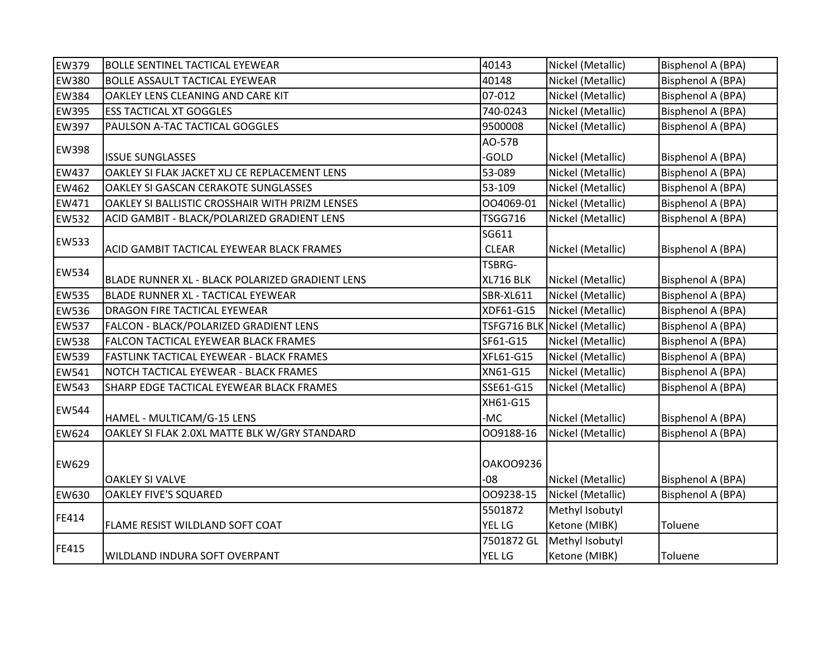| <b>EW379</b> | <b>BOLLE SENTINEL TACTICAL EYEWEAR</b>          | 40143            | Nickel (Metallic)             | <b>Bisphenol A (BPA)</b> |
|--------------|-------------------------------------------------|------------------|-------------------------------|--------------------------|
| <b>EW380</b> | <b>BOLLE ASSAULT TACTICAL EYEWEAR</b>           | 40148            | Nickel (Metallic)             | Bisphenol A (BPA)        |
| <b>EW384</b> | OAKLEY LENS CLEANING AND CARE KIT               | 07-012           | Nickel (Metallic)             | <b>Bisphenol A (BPA)</b> |
| <b>EW395</b> | <b>ESS TACTICAL XT GOGGLES</b>                  | 740-0243         | Nickel (Metallic)             | Bisphenol A (BPA)        |
| <b>EW397</b> | PAULSON A-TAC TACTICAL GOGGLES                  | 9500008          | Nickel (Metallic)             | Bisphenol A (BPA)        |
| <b>EW398</b> |                                                 | AO-57B           |                               |                          |
|              | <b>ISSUE SUNGLASSES</b>                         | -GOLD            | Nickel (Metallic)             | Bisphenol A (BPA)        |
| <b>EW437</b> | OAKLEY SI FLAK JACKET XLJ CE REPLACEMENT LENS   | 53-089           | Nickel (Metallic)             | Bisphenol A (BPA)        |
| EW462        | <b>OAKLEY SI GASCAN CERAKOTE SUNGLASSES</b>     | 53-109           | Nickel (Metallic)             | <b>Bisphenol A (BPA)</b> |
| EW471        | OAKLEY SI BALLISTIC CROSSHAIR WITH PRIZM LENSES | 004069-01        | Nickel (Metallic)             | Bisphenol A (BPA)        |
| <b>EW532</b> | ACID GAMBIT - BLACK/POLARIZED GRADIENT LENS     | <b>TSGG716</b>   | Nickel (Metallic)             | Bisphenol A (BPA)        |
| <b>EW533</b> |                                                 | SG611            |                               |                          |
|              | ACID GAMBIT TACTICAL EYEWEAR BLACK FRAMES       | <b>CLEAR</b>     | Nickel (Metallic)             | Bisphenol A (BPA)        |
| <b>EW534</b> |                                                 | TSBRG-           |                               |                          |
|              | BLADE RUNNER XL - BLACK POLARIZED GRADIENT LENS | XL716 BLK        | Nickel (Metallic)             | Bisphenol A (BPA)        |
| <b>EW535</b> | BLADE RUNNER XL - TACTICAL EYEWEAR              | <b>SBR-XL611</b> | Nickel (Metallic)             | Bisphenol A (BPA)        |
| <b>EW536</b> | DRAGON FIRE TACTICAL EYEWEAR                    | XDF61-G15        | Nickel (Metallic)             | Bisphenol A (BPA)        |
| <b>EW537</b> | FALCON - BLACK/POLARIZED GRADIENT LENS          |                  | TSFG716 BLK Nickel (Metallic) | <b>Bisphenol A (BPA)</b> |
| <b>EW538</b> | FALCON TACTICAL EYEWEAR BLACK FRAMES            | SF61-G15         | Nickel (Metallic)             | Bisphenol A (BPA)        |
| EW539        | FASTLINK TACTICAL EYEWEAR - BLACK FRAMES        | XFL61-G15        | Nickel (Metallic)             | Bisphenol A (BPA)        |
| EW541        | NOTCH TACTICAL EYEWEAR - BLACK FRAMES           | XN61-G15         | Nickel (Metallic)             | Bisphenol A (BPA)        |
| <b>EW543</b> | SHARP EDGE TACTICAL EYEWEAR BLACK FRAMES        | SSE61-G15        | Nickel (Metallic)             | Bisphenol A (BPA)        |
| <b>EW544</b> |                                                 | XH61-G15         |                               |                          |
|              | HAMEL - MULTICAM/G-15 LENS                      | -MC              | Nickel (Metallic)             | Bisphenol A (BPA)        |
| <b>EW624</b> | OAKLEY SI FLAK 2.0XL MATTE BLK W/GRY STANDARD   | 009188-16        | Nickel (Metallic)             | Bisphenol A (BPA)        |
|              |                                                 |                  |                               |                          |
| <b>EW629</b> |                                                 | <b>OAKOO9236</b> |                               |                          |
|              | <b>OAKLEY SI VALVE</b>                          | $-08$            | Nickel (Metallic)             | Bisphenol A (BPA)        |
| EW630        | <b>OAKLEY FIVE'S SQUARED</b>                    | 009238-15        | Nickel (Metallic)             | Bisphenol A (BPA)        |
|              |                                                 | 5501872          | Methyl Isobutyl               |                          |
| FE414        | FLAME RESIST WILDLAND SOFT COAT                 | <b>YEL LG</b>    | Ketone (MIBK)                 | Toluene                  |
| FE415        |                                                 | 7501872 GL       | Methyl Isobutyl               |                          |
|              | WILDLAND INDURA SOFT OVERPANT                   | <b>YEL LG</b>    | Ketone (MIBK)                 | Toluene                  |